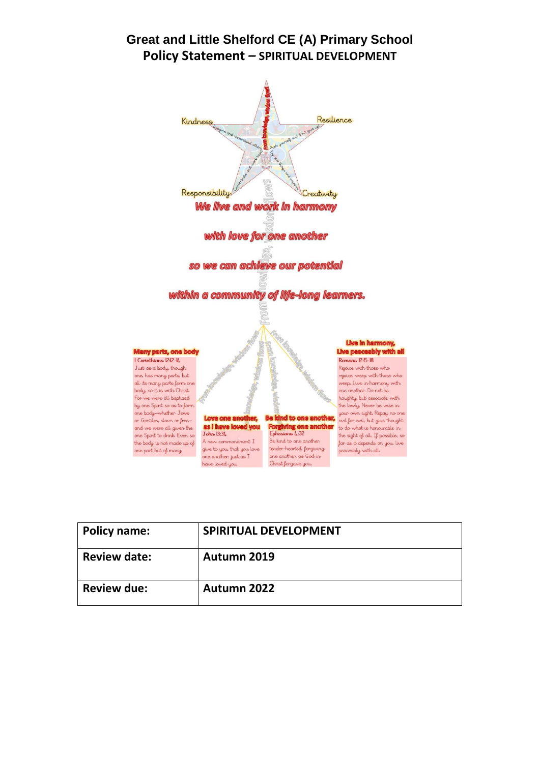# **Great and Little Shelford CE (A) Primary School Policy Statement** *–* **SPIRITUAL DEVELOPMENT**



| <b>Policy name:</b> | <b>SPIRITUAL DEVELOPMENT</b> |
|---------------------|------------------------------|
| <b>Review date:</b> | Autumn 2019                  |
| <b>Review due:</b>  | Autumn 2022                  |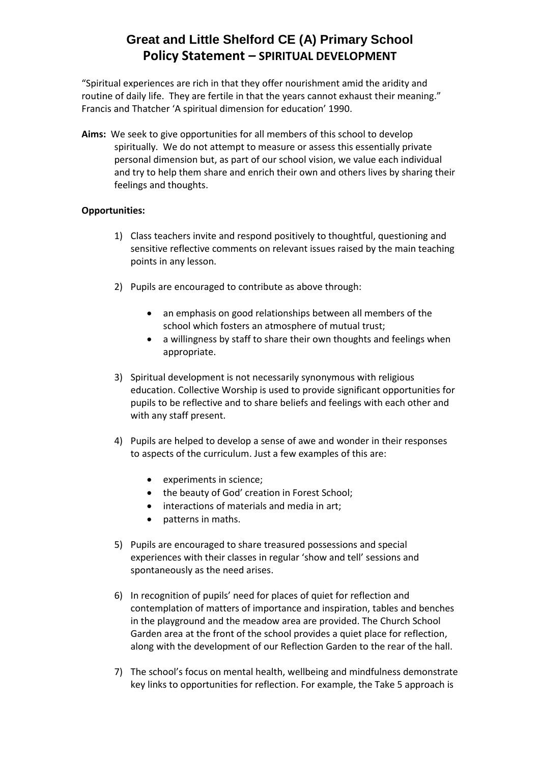# **Great and Little Shelford CE (A) Primary School Policy Statement** *–* **SPIRITUAL DEVELOPMENT**

"Spiritual experiences are rich in that they offer nourishment amid the aridity and routine of daily life. They are fertile in that the years cannot exhaust their meaning." Francis and Thatcher 'A spiritual dimension for education' 1990.

**Aims:** We seek to give opportunities for all members of this school to develop spiritually. We do not attempt to measure or assess this essentially private personal dimension but, as part of our school vision, we value each individual and try to help them share and enrich their own and others lives by sharing their feelings and thoughts.

### **Opportunities:**

- 1) Class teachers invite and respond positively to thoughtful, questioning and sensitive reflective comments on relevant issues raised by the main teaching points in any lesson.
- 2) Pupils are encouraged to contribute as above through:
	- an emphasis on good relationships between all members of the school which fosters an atmosphere of mutual trust;
	- a willingness by staff to share their own thoughts and feelings when appropriate.
- 3) Spiritual development is not necessarily synonymous with religious education. Collective Worship is used to provide significant opportunities for pupils to be reflective and to share beliefs and feelings with each other and with any staff present.
- 4) Pupils are helped to develop a sense of awe and wonder in their responses to aspects of the curriculum. Just a few examples of this are:
	- experiments in science;
	- the beauty of God' creation in Forest School:
	- interactions of materials and media in art;
	- patterns in maths.
- 5) Pupils are encouraged to share treasured possessions and special experiences with their classes in regular 'show and tell' sessions and spontaneously as the need arises.
- 6) In recognition of pupils' need for places of quiet for reflection and contemplation of matters of importance and inspiration, tables and benches in the playground and the meadow area are provided. The Church School Garden area at the front of the school provides a quiet place for reflection, along with the development of our Reflection Garden to the rear of the hall.
- 7) The school's focus on mental health, wellbeing and mindfulness demonstrate key links to opportunities for reflection. For example, the Take 5 approach is